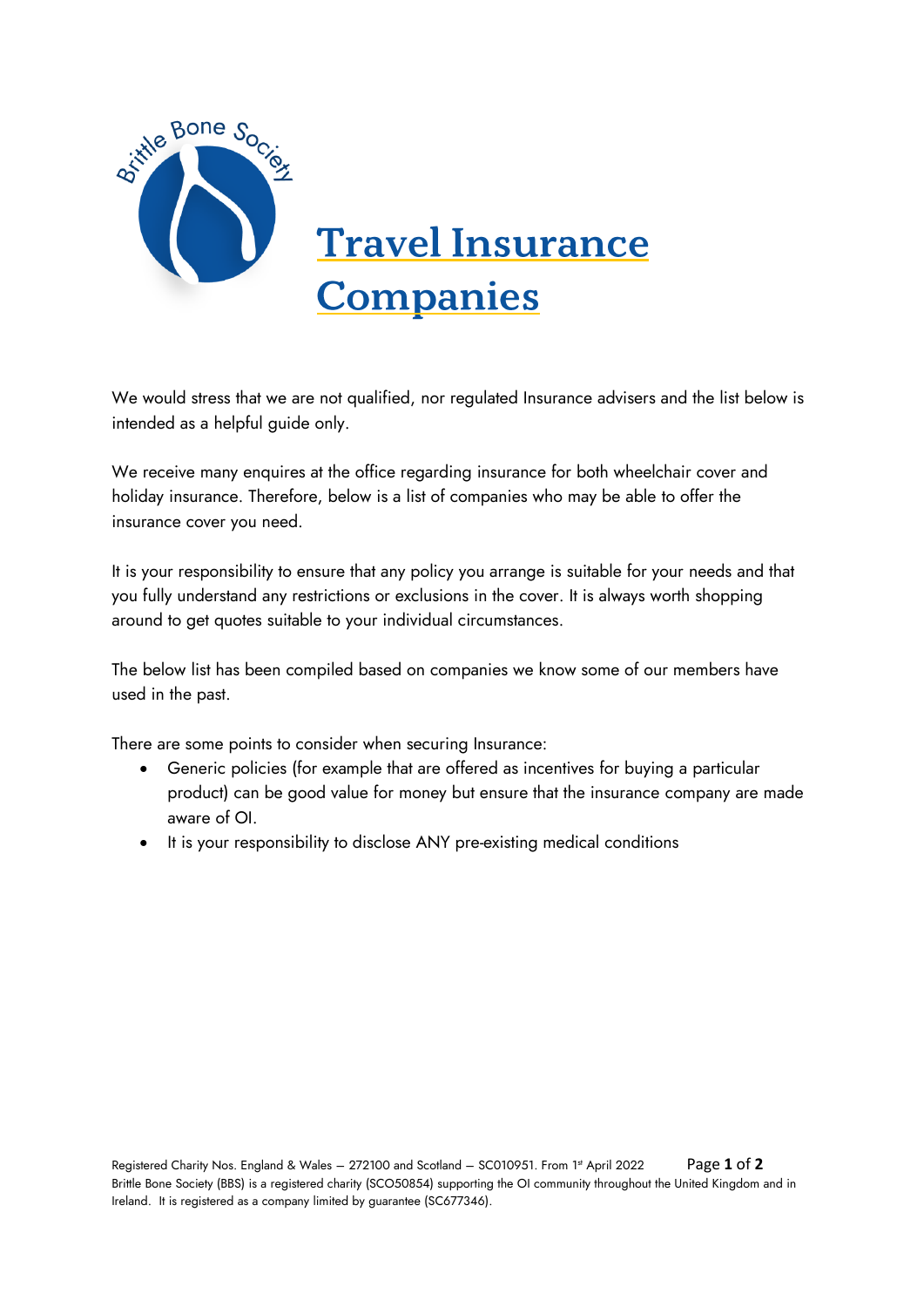

We would stress that we are not qualified, nor regulated Insurance advisers and the list below is intended as a helpful guide only.

We receive many enquires at the office regarding insurance for both wheelchair cover and holiday insurance. Therefore, below is a list of companies who may be able to offer the insurance cover you need.

It is your responsibility to ensure that any policy you arrange is suitable for your needs and that you fully understand any restrictions or exclusions in the cover. It is always worth shopping around to get quotes suitable to your individual circumstances.

The below list has been compiled based on companies we know some of our members have used in the past.

There are some points to consider when securing Insurance:

- Generic policies (for example that are offered as incentives for buying a particular product) can be good value for money but ensure that the insurance company are made aware of OI.
- It is your responsibility to disclose ANY pre-existing medical conditions